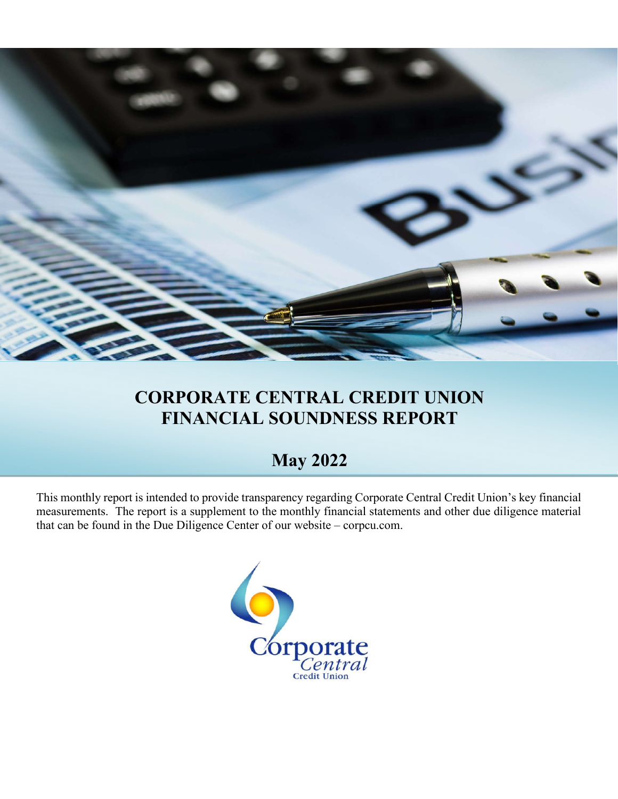

## **CORPORATE CENTRAL CREDIT UNION FINANCIAL SOUNDNESS REPORT**

## **May 2022**

This monthly report is intended to provide transparency regarding Corporate Central Credit Union's key financial measurements. The report is a supplement to the monthly financial statements and other due diligence material that can be found in the Due Diligence Center of our website – corpcu.com.

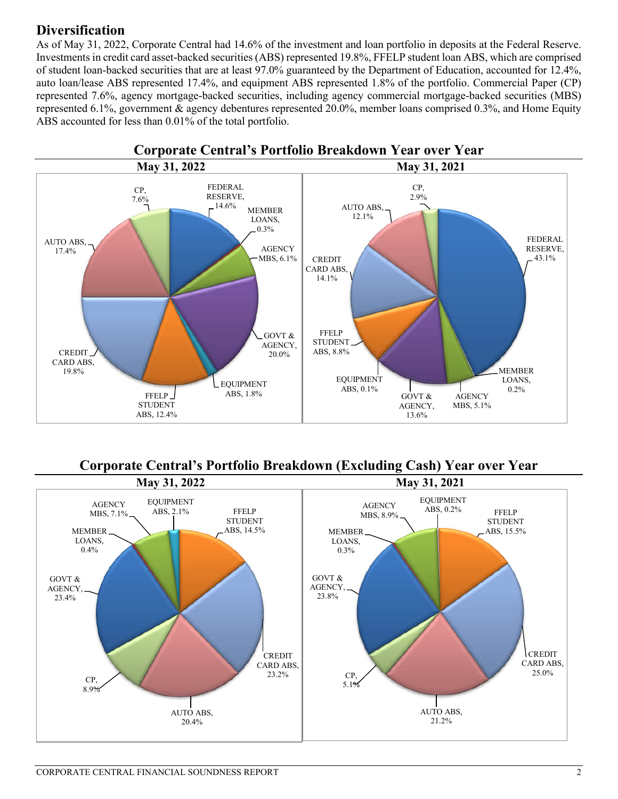### **Diversification**

As of May 31, 2022, Corporate Central had 14.6% of the investment and loan portfolio in deposits at the Federal Reserve. Investments in credit card asset-backed securities (ABS) represented 19.8%, FFELP student loan ABS, which are comprised of student loan-backed securities that are at least 97.0% guaranteed by the Department of Education, accounted for 12.4%, auto loan/lease ABS represented 17.4%, and equipment ABS represented 1.8% of the portfolio. Commercial Paper (CP) represented 7.6%, agency mortgage-backed securities, including agency commercial mortgage-backed securities (MBS) represented 6.1%, government & agency debentures represented 20.0%, member loans comprised 0.3%, and Home Equity ABS accounted for less than 0.01% of the total portfolio.



**Corporate Central's Portfolio Breakdown (Excluding Cash) Year over Year**

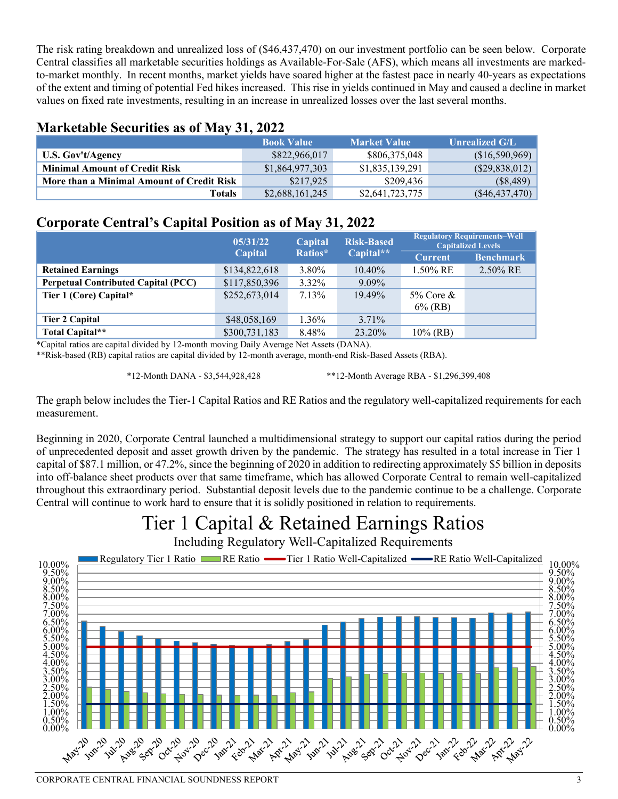The risk rating breakdown and unrealized loss of (\$46,437,470) on our investment portfolio can be seen below. Corporate Central classifies all marketable securities holdings as Available-For-Sale (AFS), which means all investments are markedto-market monthly. In recent months, market yields have soared higher at the fastest pace in nearly 40-years as expectations of the extent and timing of potential Fed hikes increased. This rise in yields continued in May and caused a decline in market values on fixed rate investments, resulting in an increase in unrealized losses over the last several months.

#### **Marketable Securities as of May 31, 2022**

|                                           | <b>Book Value</b> | <b>Market Value</b> | <b>Unrealized G/L</b> |
|-------------------------------------------|-------------------|---------------------|-----------------------|
| U.S. Gov't/Agency                         | \$822,966,017     | \$806,375,048       | (\$16,590,969)        |
| <b>Minimal Amount of Credit Risk</b>      | \$1,864,977,303   | \$1,835,139,291     | (\$29,838,012)        |
| More than a Minimal Amount of Credit Risk | \$217.925         | \$209.436           | $(\$8,489)$           |
| Totals                                    | \$2,688,161,245   | \$2,641,723,775     | $(\$46,437,470)$      |

### **Corporate Central's Capital Position as of May 31, 2022**

|                                            | 05/31/22       | Capital  | <b>Risk-Based</b> | <b>Regulatory Requirements-Well</b><br><b>Capitalized Levels</b> |                  |
|--------------------------------------------|----------------|----------|-------------------|------------------------------------------------------------------|------------------|
|                                            | <b>Capital</b> | Ratios*  | Capital**         | <b>Current</b>                                                   | <b>Benchmark</b> |
| <b>Retained Earnings</b>                   | \$134,822,618  | 3.80%    | $10.40\%$         | $1.50\%$ RE                                                      | $2.50\%$ RE      |
| <b>Perpetual Contributed Capital (PCC)</b> | \$117,850,396  | $3.32\%$ | $9.09\%$          |                                                                  |                  |
| Tier 1 (Core) Capital*                     | \$252,673,014  | 7.13%    | 19.49%            | $5\%$ Core &                                                     |                  |
|                                            |                |          |                   | $6\%$ (RB)                                                       |                  |
| <b>Tier 2 Capital</b>                      | \$48,058,169   | 1.36%    | $3.71\%$          |                                                                  |                  |
| Total Capital**                            | \$300,731,183  | 8.48%    | 23.20%            | $10\%$ (RB)                                                      |                  |

\*Capital ratios are capital divided by 12-month moving Daily Average Net Assets (DANA).

\*\*Risk-based (RB) capital ratios are capital divided by 12-month average, month-end Risk-Based Assets (RBA).

\*12-Month DANA - \$3,544,928,428 \*\*12-Month Average RBA - \$1,296,399,408

The graph below includes the Tier-1 Capital Ratios and RE Ratios and the regulatory well-capitalized requirements for each measurement.

Beginning in 2020, Corporate Central launched a multidimensional strategy to support our capital ratios during the period of unprecedented deposit and asset growth driven by the pandemic. The strategy has resulted in a total increase in Tier 1 capital of \$87.1 million, or 47.2%, since the beginning of 2020 in addition to redirecting approximately \$5 billion in deposits into off-balance sheet products over that same timeframe, which has allowed Corporate Central to remain well-capitalized throughout this extraordinary period. Substantial deposit levels due to the pandemic continue to be a challenge. Corporate Central will continue to work hard to ensure that it is solidly positioned in relation to requirements.

# Tier 1 Capital & Retained Earnings Ratios

Including Regulatory Well-Capitalized Requirements